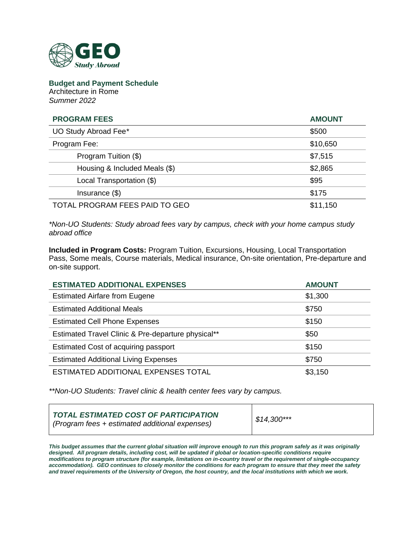

**Budget and Payment Schedule** Architecture in Rome *Summer 2022*

| <b>PROGRAM FEES</b>            | <b>AMOUNT</b> |
|--------------------------------|---------------|
| UO Study Abroad Fee*           | \$500         |
| Program Fee:                   | \$10,650      |
| Program Tuition (\$)           | \$7,515       |
| Housing & Included Meals (\$)  | \$2,865       |
| Local Transportation (\$)      | \$95          |
| Insurance $(\$)$               | \$175         |
| TOTAL PROGRAM FEES PAID TO GEO | \$11,150      |

*\*Non-UO Students: Study abroad fees vary by campus, check with your home campus study abroad office*

**Included in Program Costs:** Program Tuition, Excursions, Housing, Local Transportation Pass, Some meals, Course materials, Medical insurance, On-site orientation, Pre-departure and on-site support.

| <b>ESTIMATED ADDITIONAL EXPENSES</b>               | <b>AMOUNT</b> |
|----------------------------------------------------|---------------|
| <b>Estimated Airfare from Eugene</b>               | \$1,300       |
| <b>Estimated Additional Meals</b>                  | \$750         |
| <b>Estimated Cell Phone Expenses</b>               | \$150         |
| Estimated Travel Clinic & Pre-departure physical** | \$50          |
| Estimated Cost of acquiring passport               | \$150         |
| <b>Estimated Additional Living Expenses</b>        | \$750         |
| ESTIMATED ADDITIONAL EXPENSES TOTAL                | \$3,150       |

*\*\*Non-UO Students: Travel clinic & health center fees vary by campus.*

| TOTAL ESTIMATED COST OF PARTICIPATION<br>  (Program fees + estimated additional expenses) | $$14,300***$ |
|-------------------------------------------------------------------------------------------|--------------|
|-------------------------------------------------------------------------------------------|--------------|

*This budget assumes that the current global situation will improve enough to run this program safely as it was originally*  designed. All program details, including cost, will be updated if global or location-specific conditions require *modifications to program structure (for example, limitations on in-country travel or the requirement of single-occupancy accommodation). GEO continues to closely monitor the conditions for each program to ensure that they meet the safety and travel requirements of the University of Oregon, the host country, and the local institutions with which we work.*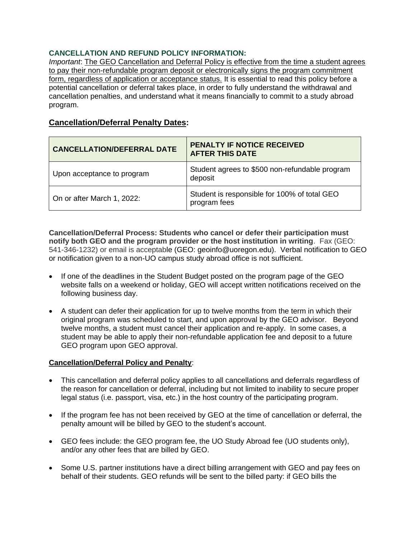## **CANCELLATION AND REFUND POLICY INFORMATION:**

*Important*: The GEO Cancellation and Deferral Policy is effective from the time a student agrees to pay their non-refundable program deposit or electronically signs the program commitment form, regardless of application or acceptance status. It is essential to read this policy before a potential cancellation or deferral takes place, in order to fully understand the withdrawal and cancellation penalties, and understand what it means financially to commit to a study abroad program.

# **Cancellation/Deferral Penalty Dates:**

| <b>CANCELLATION/DEFERRAL DATE</b> | PENALTY IF NOTICE RECEIVED<br><b>AFTER THIS DATE</b>         |
|-----------------------------------|--------------------------------------------------------------|
| Upon acceptance to program        | Student agrees to \$500 non-refundable program<br>deposit    |
| On or after March 1, 2022:        | Student is responsible for 100% of total GEO<br>program fees |

**Cancellation/Deferral Process: Students who cancel or defer their participation must notify both GEO and the program provider or the host institution in writing**. Fax (GEO: 541-346-1232) or email is acceptable (GEO: geoinfo@uoregon.edu). Verbal notification to GEO or notification given to a non-UO campus study abroad office is not sufficient.

- If one of the deadlines in the Student Budget posted on the program page of the GEO website falls on a weekend or holiday, GEO will accept written notifications received on the following business day.
- A student can defer their application for up to twelve months from the term in which their original program was scheduled to start, and upon approval by the GEO advisor. Beyond twelve months, a student must cancel their application and re-apply. In some cases, a student may be able to apply their non-refundable application fee and deposit to a future GEO program upon GEO approval.

## **Cancellation/Deferral Policy and Penalty**:

- This cancellation and deferral policy applies to all cancellations and deferrals regardless of the reason for cancellation or deferral, including but not limited to inability to secure proper legal status (i.e. passport, visa, etc.) in the host country of the participating program.
- If the program fee has not been received by GEO at the time of cancellation or deferral, the penalty amount will be billed by GEO to the student's account.
- GEO fees include: the GEO program fee, the UO Study Abroad fee (UO students only), and/or any other fees that are billed by GEO.
- Some U.S. partner institutions have a direct billing arrangement with GEO and pay fees on behalf of their students. GEO refunds will be sent to the billed party: if GEO bills the